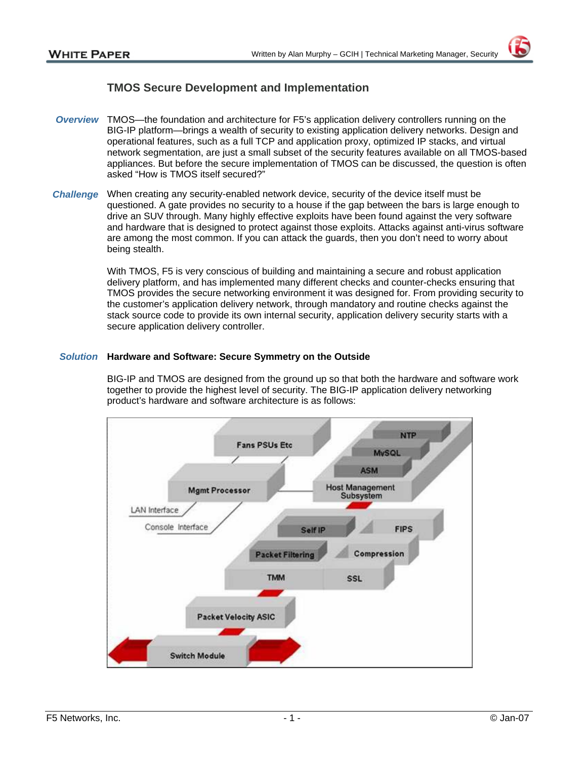# **TMOS Secure Development and Implementation**

- *Overview* TMOS—the foundation and architecture for F5's application delivery controllers running on the BIG-IP platform—brings a wealth of security to existing application delivery networks. Design and operational features, such as a full TCP and application proxy, optimized IP stacks, and virtual network segmentation, are just a small subset of the security features available on all TMOS-based appliances. But before the secure implementation of TMOS can be discussed, the question is often asked "How is TMOS itself secured?"
- *Challenge* When creating any security-enabled network device, security of the device itself must be questioned. A gate provides no security to a house if the gap between the bars is large enough to drive an SUV through. Many highly effective exploits have been found against the very software and hardware that is designed to protect against those exploits. Attacks against anti-virus software are among the most common. If you can attack the guards, then you don't need to worry about being stealth.

With TMOS, F5 is very conscious of building and maintaining a secure and robust application delivery platform, and has implemented many different checks and counter-checks ensuring that TMOS provides the secure networking environment it was designed for. From providing security to the customer's application delivery network, through mandatory and routine checks against the stack source code to provide its own internal security, application delivery security starts with a secure application delivery controller.

### *Solution* **Hardware and Software: Secure Symmetry on the Outside**

BIG-IP and TMOS are designed from the ground up so that both the hardware and software work together to provide the highest level of security. The BIG-IP application delivery networking product's hardware and software architecture is as follows:

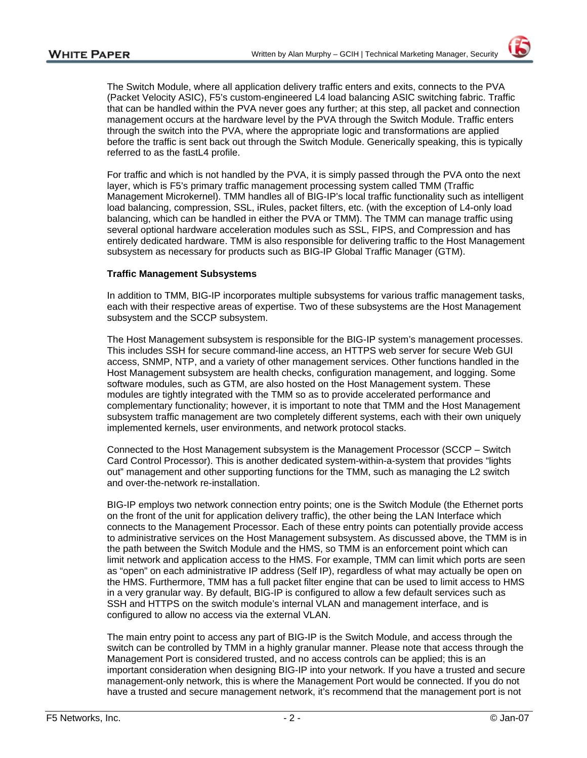The Switch Module, where all application delivery traffic enters and exits, connects to the PVA (Packet Velocity ASIC), F5's custom-engineered L4 load balancing ASIC switching fabric. Traffic that can be handled within the PVA never goes any further; at this step, all packet and connection management occurs at the hardware level by the PVA through the Switch Module. Traffic enters through the switch into the PVA, where the appropriate logic and transformations are applied before the traffic is sent back out through the Switch Module. Generically speaking, this is typically referred to as the fastL4 profile.

For traffic and which is not handled by the PVA, it is simply passed through the PVA onto the next layer, which is F5's primary traffic management processing system called TMM (Traffic Management Microkernel). TMM handles all of BIG-IP's local traffic functionality such as intelligent load balancing, compression, SSL, iRules, packet filters, etc. (with the exception of L4-only load balancing, which can be handled in either the PVA or TMM). The TMM can manage traffic using several optional hardware acceleration modules such as SSL, FIPS, and Compression and has entirely dedicated hardware. TMM is also responsible for delivering traffic to the Host Management subsystem as necessary for products such as BIG-IP Global Traffic Manager (GTM).

### **Traffic Management Subsystems**

In addition to TMM, BIG-IP incorporates multiple subsystems for various traffic management tasks, each with their respective areas of expertise. Two of these subsystems are the Host Management subsystem and the SCCP subsystem.

The Host Management subsystem is responsible for the BIG-IP system's management processes. This includes SSH for secure command-line access, an HTTPS web server for secure Web GUI access, SNMP, NTP, and a variety of other management services. Other functions handled in the Host Management subsystem are health checks, configuration management, and logging. Some software modules, such as GTM, are also hosted on the Host Management system. These modules are tightly integrated with the TMM so as to provide accelerated performance and complementary functionality; however, it is important to note that TMM and the Host Management subsystem traffic management are two completely different systems, each with their own uniquely implemented kernels, user environments, and network protocol stacks.

Connected to the Host Management subsystem is the Management Processor (SCCP – Switch Card Control Processor). This is another dedicated system-within-a-system that provides "lights out" management and other supporting functions for the TMM, such as managing the L2 switch and over-the-network re-installation.

BIG-IP employs two network connection entry points; one is the Switch Module (the Ethernet ports on the front of the unit for application delivery traffic), the other being the LAN Interface which connects to the Management Processor. Each of these entry points can potentially provide access to administrative services on the Host Management subsystem. As discussed above, the TMM is in the path between the Switch Module and the HMS, so TMM is an enforcement point which can limit network and application access to the HMS. For example, TMM can limit which ports are seen as "open" on each administrative IP address (Self IP), regardless of what may actually be open on the HMS. Furthermore, TMM has a full packet filter engine that can be used to limit access to HMS in a very granular way. By default, BIG-IP is configured to allow a few default services such as SSH and HTTPS on the switch module's internal VLAN and management interface, and is configured to allow no access via the external VLAN.

The main entry point to access any part of BIG-IP is the Switch Module, and access through the switch can be controlled by TMM in a highly granular manner. Please note that access through the Management Port is considered trusted, and no access controls can be applied; this is an important consideration when designing BIG-IP into your network. If you have a trusted and secure management-only network, this is where the Management Port would be connected. If you do not have a trusted and secure management network, it's recommend that the management port is not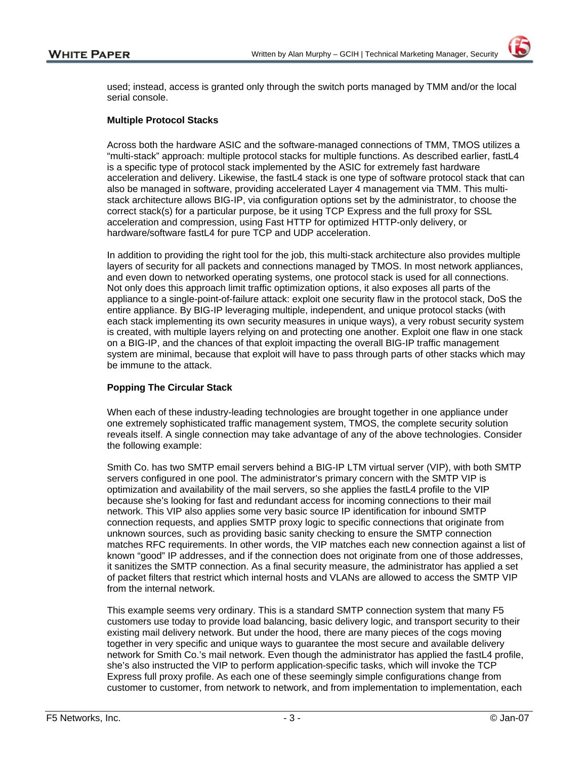used; instead, access is granted only through the switch ports managed by TMM and/or the local serial console.

### **Multiple Protocol Stacks**

Across both the hardware ASIC and the software-managed connections of TMM, TMOS utilizes a "multi-stack" approach: multiple protocol stacks for multiple functions. As described earlier, fastL4 is a specific type of protocol stack implemented by the ASIC for extremely fast hardware acceleration and delivery. Likewise, the fastL4 stack is one type of software protocol stack that can also be managed in software, providing accelerated Layer 4 management via TMM. This multistack architecture allows BIG-IP, via configuration options set by the administrator, to choose the correct stack(s) for a particular purpose, be it using TCP Express and the full proxy for SSL acceleration and compression, using Fast HTTP for optimized HTTP-only delivery, or hardware/software fastL4 for pure TCP and UDP acceleration.

In addition to providing the right tool for the job, this multi-stack architecture also provides multiple layers of security for all packets and connections managed by TMOS. In most network appliances, and even down to networked operating systems, one protocol stack is used for all connections. Not only does this approach limit traffic optimization options, it also exposes all parts of the appliance to a single-point-of-failure attack: exploit one security flaw in the protocol stack, DoS the entire appliance. By BIG-IP leveraging multiple, independent, and unique protocol stacks (with each stack implementing its own security measures in unique ways), a very robust security system is created, with multiple layers relying on and protecting one another. Exploit one flaw in one stack on a BIG-IP, and the chances of that exploit impacting the overall BIG-IP traffic management system are minimal, because that exploit will have to pass through parts of other stacks which may be immune to the attack.

### **Popping The Circular Stack**

When each of these industry-leading technologies are brought together in one appliance under one extremely sophisticated traffic management system, TMOS, the complete security solution reveals itself. A single connection may take advantage of any of the above technologies. Consider the following example:

Smith Co. has two SMTP email servers behind a BIG-IP LTM virtual server (VIP), with both SMTP servers configured in one pool. The administrator's primary concern with the SMTP VIP is optimization and availability of the mail servers, so she applies the fastL4 profile to the VIP because she's looking for fast and redundant access for incoming connections to their mail network. This VIP also applies some very basic source IP identification for inbound SMTP connection requests, and applies SMTP proxy logic to specific connections that originate from unknown sources, such as providing basic sanity checking to ensure the SMTP connection matches RFC requirements. In other words, the VIP matches each new connection against a list of known "good" IP addresses, and if the connection does not originate from one of those addresses, it sanitizes the SMTP connection. As a final security measure, the administrator has applied a set of packet filters that restrict which internal hosts and VLANs are allowed to access the SMTP VIP from the internal network.

This example seems very ordinary. This is a standard SMTP connection system that many F5 customers use today to provide load balancing, basic delivery logic, and transport security to their existing mail delivery network. But under the hood, there are many pieces of the cogs moving together in very specific and unique ways to guarantee the most secure and available delivery network for Smith Co.'s mail network. Even though the administrator has applied the fastL4 profile, she's also instructed the VIP to perform application-specific tasks, which will invoke the TCP Express full proxy profile. As each one of these seemingly simple configurations change from customer to customer, from network to network, and from implementation to implementation, each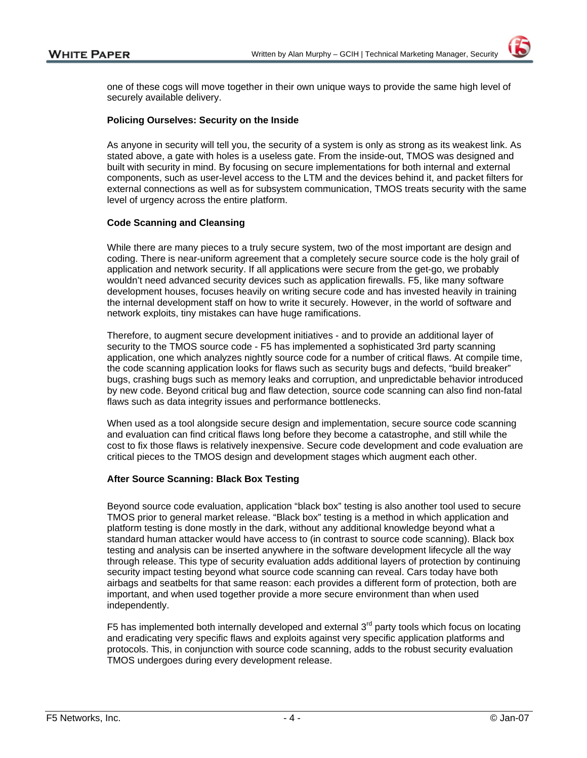one of these cogs will move together in their own unique ways to provide the same high level of securely available delivery.

#### **Policing Ourselves: Security on the Inside**

As anyone in security will tell you, the security of a system is only as strong as its weakest link. As stated above, a gate with holes is a useless gate. From the inside-out, TMOS was designed and built with security in mind. By focusing on secure implementations for both internal and external components, such as user-level access to the LTM and the devices behind it, and packet filters for external connections as well as for subsystem communication, TMOS treats security with the same level of urgency across the entire platform.

#### **Code Scanning and Cleansing**

While there are many pieces to a truly secure system, two of the most important are design and coding. There is near-uniform agreement that a completely secure source code is the holy grail of application and network security. If all applications were secure from the get-go, we probably wouldn't need advanced security devices such as application firewalls. F5, like many software development houses, focuses heavily on writing secure code and has invested heavily in training the internal development staff on how to write it securely. However, in the world of software and network exploits, tiny mistakes can have huge ramifications.

Therefore, to augment secure development initiatives - and to provide an additional layer of security to the TMOS source code - F5 has implemented a sophisticated 3rd party scanning application, one which analyzes nightly source code for a number of critical flaws. At compile time, the code scanning application looks for flaws such as security bugs and defects, "build breaker" bugs, crashing bugs such as memory leaks and corruption, and unpredictable behavior introduced by new code. Beyond critical bug and flaw detection, source code scanning can also find non-fatal flaws such as data integrity issues and performance bottlenecks.

When used as a tool alongside secure design and implementation, secure source code scanning and evaluation can find critical flaws long before they become a catastrophe, and still while the cost to fix those flaws is relatively inexpensive. Secure code development and code evaluation are critical pieces to the TMOS design and development stages which augment each other.

### **After Source Scanning: Black Box Testing**

Beyond source code evaluation, application "black box" testing is also another tool used to secure TMOS prior to general market release. "Black box" testing is a method in which application and platform testing is done mostly in the dark, without any additional knowledge beyond what a standard human attacker would have access to (in contrast to source code scanning). Black box testing and analysis can be inserted anywhere in the software development lifecycle all the way through release. This type of security evaluation adds additional layers of protection by continuing security impact testing beyond what source code scanning can reveal. Cars today have both airbags and seatbelts for that same reason: each provides a different form of protection, both are important, and when used together provide a more secure environment than when used independently.

F5 has implemented both internally developed and external  $3<sup>rd</sup>$  party tools which focus on locating and eradicating very specific flaws and exploits against very specific application platforms and protocols. This, in conjunction with source code scanning, adds to the robust security evaluation TMOS undergoes during every development release.